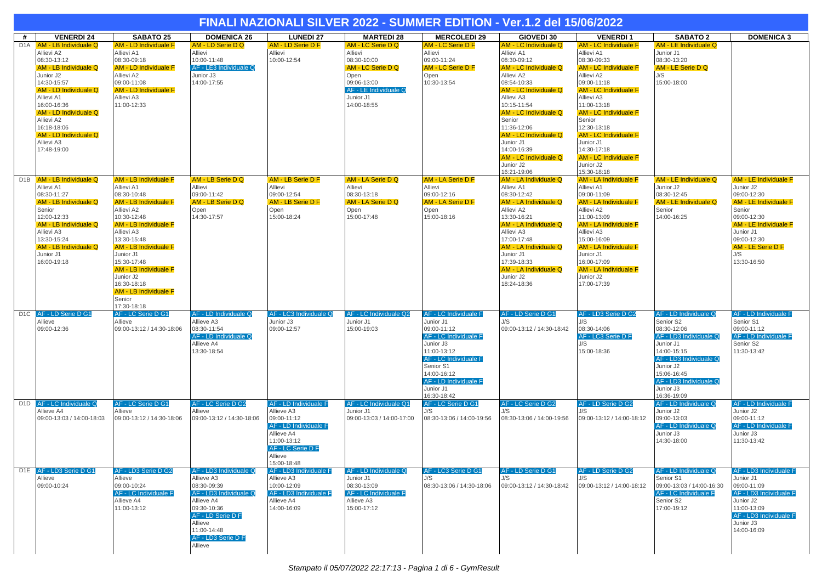|                  | FINALI NAZIONALI SILVER 2022 - SUMMER EDITION - Ver.1.2 del 15/06/2022                                                                                                                                                                                                    |                                                                                                                                                                                                                                                                                                                                                                      |                                                                                                                                                                                            |                                                                                                                                                         |                                                                                                                                              |                                                                                                                                                                                                                                |                                                                                                                                                                                                                                                                                                                            |                                                                                                                                                                                                                                                                                                                                                                      |                                                                                                                                                                                                                     |                                                                                                                                                                                                                          |  |  |
|------------------|---------------------------------------------------------------------------------------------------------------------------------------------------------------------------------------------------------------------------------------------------------------------------|----------------------------------------------------------------------------------------------------------------------------------------------------------------------------------------------------------------------------------------------------------------------------------------------------------------------------------------------------------------------|--------------------------------------------------------------------------------------------------------------------------------------------------------------------------------------------|---------------------------------------------------------------------------------------------------------------------------------------------------------|----------------------------------------------------------------------------------------------------------------------------------------------|--------------------------------------------------------------------------------------------------------------------------------------------------------------------------------------------------------------------------------|----------------------------------------------------------------------------------------------------------------------------------------------------------------------------------------------------------------------------------------------------------------------------------------------------------------------------|----------------------------------------------------------------------------------------------------------------------------------------------------------------------------------------------------------------------------------------------------------------------------------------------------------------------------------------------------------------------|---------------------------------------------------------------------------------------------------------------------------------------------------------------------------------------------------------------------|--------------------------------------------------------------------------------------------------------------------------------------------------------------------------------------------------------------------------|--|--|
| #                | <b>VENERDI 24</b>                                                                                                                                                                                                                                                         | <b>SABATO 25</b>                                                                                                                                                                                                                                                                                                                                                     | <b>DOMENICA 26</b>                                                                                                                                                                         | <b>LUNEDI 27</b>                                                                                                                                        | <b>MARTEDI 28</b>                                                                                                                            | <b>MERCOLEDI 29</b>                                                                                                                                                                                                            | GIOVEDI 30                                                                                                                                                                                                                                                                                                                 | <b>VENERDI1</b>                                                                                                                                                                                                                                                                                                                                                      | <b>SABATO 2</b>                                                                                                                                                                                                     | <b>DOMENICA 3</b>                                                                                                                                                                                                        |  |  |
| D <sub>1</sub> A | AM - LB Individuale Q<br>Allievi A2<br>08:30-13:12<br>AM - LB Individuale Q<br>Junior J2<br>14:30-15:57<br>AM - LD Individuale Q<br>Allievi A1<br>16:00-16:36<br>AM - LD Individuale Q<br>Allievi A2<br>16:18-18:06<br>AM - LD Individuale Q<br>Allievi A3<br>17:48-19:00 | AM - LD Individuale F<br>Allievi A1<br>08:30-09:18<br><b>AM - LD Individuale F</b><br>Allievi A2<br>09:00-11:08<br><b>AM - LD Individuale F</b><br>Allievi A3<br>11:00-12:33                                                                                                                                                                                         | AM - LD Serie D Q<br>Allievi<br>10:00-11:48<br>AF - LE3 Individuale Q<br>Junior J3<br>14:00-17:55                                                                                          | <b>AM - LD Serie D F</b><br>Allievi<br>10:00-12:54                                                                                                      | AM - LC Serie D Q<br>Allievi<br>08:30-10:00<br>AM - LC Serie D Q<br>Open<br>09:06-13:00<br>AF - LE Individuale Q<br>Junior J1<br>14:00-18:55 | <b>AM - LC Serie D F</b><br>Allievi<br>09:00-11:24<br>AM - LC Serie D F<br>Open<br>10:30-13:54                                                                                                                                 | AM - LC Individuale Q<br>Allievi A1<br>08:30-09:12<br>AM - LC Individuale Q<br>Allievi A2<br>08:54-10:33<br>AM - LC Individuale Q<br>Allievi A3<br>10:15-11:54<br>AM - LC Individuale Q<br>Senior<br>11:36-12:06<br>AM - LC Individuale Q<br>Junior J1<br>14:00-16:39<br>AM - LC Individuale Q<br>Junior J2<br>16:21-19:06 | <b>AM - LC Individuale F</b><br>Allievi A1<br>08:30-09:33<br><b>AM - LC Individuale F</b><br>Allievi A2<br>09:00-11:18<br><b>AM - LC Individuale F</b><br>Allievi A3<br>11:00-13:18<br><b>AM - LC Individuale F</b><br>Senior<br>12:30-13:18<br><b>AM - LC Individuale F</b><br>Junior J1<br>14:30-17:18<br><b>AM - LC Individuale F</b><br>Junior J2<br>15:30-18:18 | AM - LE Individuale Q<br>Junior J1<br>08:30-13:20<br>AM - LE Serie D Q<br>J/S<br>15:00-18:00                                                                                                                        |                                                                                                                                                                                                                          |  |  |
|                  | D1B AM - LB Individuale Q<br>Allievi A1<br>08:30-11:27<br>AM - LB Individuale Q<br>Senior<br>12:00-12:33<br>AM - LB Individuale Q<br>Allievi A3<br>13:30-15:24<br>AM - LB Individuale Q<br>Junior J1<br>16:00-19:18                                                       | <b>AM - LB Individuale F</b><br>Allievi A1<br>08:30-10:48<br><b>AM - LB Individuale F</b><br>Allievi A2<br>10:30-12:48<br><b>AM - LB Individuale F</b><br>Allievi A3<br>13:30-15:48<br><b>AM - LB Individuale F</b><br>Junior J1<br>15:30-17:48<br><b>AM - LB Individuale F</b><br>Junior J2<br>16:30-18:18<br><b>AM - LB Individuale F</b><br>Senior<br>17:30-18:18 | AM - LB Serie D Q<br>Allievi<br>09:00-11:42<br>AM - LB Serie D Q<br>Open<br>14:30-17:57                                                                                                    | AM - LB Serie D F<br>Allievi<br>09:00-12:54<br>AM - LB Serie D F<br>Open<br>15:00-18:24                                                                 | AM - LA Serie D Q<br>Allievi<br>08:30-13:18<br>AM - LA Serie D Q<br>Open<br>15:00-17:48                                                      | <b>AM - LA Serie D F</b><br>Allievi<br>09:00-12:16<br><b>AM - LA Serie D F</b><br>Open<br>15:00-18:16                                                                                                                          | <b>AM - LA Individuale Q</b><br>Allievi A1<br>08:30-12:42<br>AM - LA Individuale Q<br>Allievi A2<br>13:30-16:21<br>AM - LA Individuale Q<br>Allievi A3<br>17:00-17:48<br>AM - LA Individuale Q<br>Junior J1<br>17:39-18:33<br>AM - LA Individuale Q<br>Junior J2<br>18:24-18:36                                            | <b>AM - LA Individuale F</b><br>Allievi A1<br>09:00-11:09<br><b>AM - LA Individuale F</b><br>Allievi A2<br>11:00-13:09<br><b>AM - LA Individuale F</b><br>Allievi A3<br>15:00-16:09<br><b>AM - LA Individuale F</b><br>Junior J1<br>16:00-17:09<br><b>AM - LA Individuale F</b><br>Junior J2<br>17:00-17:39                                                          | AM - LE Individuale Q<br>Junior J2<br>08:30-12:45<br>AM - LE Individuale Q<br>Senior<br>14:00-16:25                                                                                                                 | <b>AM - LE Individuale F</b><br>Junior J2<br>09:00-12:30<br><b>AM - LE Individuale F</b><br>Senior<br>09:00-12:30<br><b>AM - LE Individuale F</b><br>Junior J1<br>09:00-12:30<br>AM - LE Serie D F<br>J/S<br>13:30-16:50 |  |  |
|                  | D1C AF - LD Serie D G1<br>Allieve<br>09:00-12:36                                                                                                                                                                                                                          | <b>AF - LC Serie D G1</b><br>Allieve<br>09:00-13:12 / 14:30-18:06                                                                                                                                                                                                                                                                                                    | AF - LD Individuale Q<br>Allieve A3<br>08:30-11:54<br>AF - LD Individuale Q<br>Allieve A4<br>13:30-18:54                                                                                   | AF - LC3 Individuale Q<br>Junior J3<br>09:00-12:57                                                                                                      | AF - LC Individuale Q2<br>Junior J1<br>15:00-19:03                                                                                           | <b>AF - LC Individuale F</b><br>Junior J1<br>09:00-11:12<br><b>AF - LC Individuale F</b><br>Junior J3<br>11:00-13:12<br>AF - LC Individuale F<br>Senior S1<br>14:00-16:12<br>AF - LD Individuale F<br>Junior J1<br>16:30-18:42 | AF - LD Serie D G1<br>J/S<br>09:00-13:12 / 14:30-18:42                                                                                                                                                                                                                                                                     | AF - LD3 Serie D G2<br>J/S<br>08:30-14:06<br>AF - LC3 Serie D F<br>J/S<br>15:00-18:36                                                                                                                                                                                                                                                                                | AF - LD Individuale Q<br>Senior S2<br>08:30-12:06<br>AF - LD3 Individuale Q<br>Junior J1<br>14:00-15:15<br>AF - LD3 Individuale Q<br>Junior J2<br>15:06-16:45<br>AF - LD3 Individuale Q<br>Junior J3<br>16:36-19:09 | <b>AF - LD Individuale F</b><br>Senior S1<br>09:00-11:12<br>AF - LD Individuale F<br>Senior S2<br>11:30-13:42                                                                                                            |  |  |
| D <sub>1</sub> D | AF - LC Individuale Q<br>Allieve A4<br>09:00-13:03 / 14:00-18:03                                                                                                                                                                                                          | <b>AF - LC Serie D G1</b><br>Allieve<br>09:00-13:12 / 14:30-18:06                                                                                                                                                                                                                                                                                                    | AF - LC Serie D G2<br>Allieve<br>09:00-13:12 / 14:30-18:06                                                                                                                                 | AF - LD Individuale F<br>Allieve A3<br>09:00-11:12<br>AF - LD Individuale F<br>Allieve A4<br>11:00-13:12<br>AF - LC Serie D F<br>Allieve<br>15:00-18:48 | AF - LC Individuale Q1<br>Junior J1<br>09:00-13:03 / 14:00-17:00                                                                             | AF - LC Serie D G1<br>J/S<br>08:30-13:06 / 14:00-19:56                                                                                                                                                                         | AF - LC Serie D G2<br>J/S<br>08:30-13:06 / 14:00-19:56                                                                                                                                                                                                                                                                     | AF - LD Serie D G2<br>J/S<br>09:00-13:12 / 14:00-18:12                                                                                                                                                                                                                                                                                                               | AF - LD Individuale Q<br>Junior J2<br>09:00-13:03<br>AF - LD Individuale Q<br>Junior J3<br>14:30-18:00                                                                                                              | AF - LD Individuale F<br>Junior J2<br>09:00-11:12<br>AF - LD Individuale F<br>Junior J3<br>11:30-13:42                                                                                                                   |  |  |
|                  | D1E AF - LD3 Serie D G1<br>Allieve<br>09:00-10:24                                                                                                                                                                                                                         | <b>AF - LD3 Serie D G2</b><br>Allieve<br>09:00-10:24<br>AF - LC Individuale F<br>Allieve A4<br>11:00-13:12                                                                                                                                                                                                                                                           | AF - LD3 Individuale Q<br>Allieve A3<br>08:30-09:39<br>AF - LD3 Individuale Q<br>Allieve A4<br>09:30-10:36<br>AF - LD Serie D F<br>Allieve<br>11:00-14:48<br>AE - LD3 Serie D F<br>Allieve | AF - LD3 Individuale F<br>Allieve A3<br>10:00-12:09<br>AF - LD3 Individuale F<br>Allieve A4<br>14:00-16:09                                              | AF - LD Individuale Q<br>Junior J1<br>08:30-13:09<br>AF - LC Individuale F<br>Allieve A3<br>15:00-17:12                                      | <b>AF - LC3 Serie D G1</b><br>J/S<br>08:30-13:06 / 14:30-18:06                                                                                                                                                                 | AF - LD Serie D G1<br>J/S<br>09:00-13:12 / 14:30-18:42                                                                                                                                                                                                                                                                     | AF - LD Serie D G2<br>J/S<br>09:00-13:12 / 14:00-18:12                                                                                                                                                                                                                                                                                                               | <b>AF - LD Individuale Q</b><br>Senior S1<br>09:00-13:03 / 14:00-16:30<br>AF - LC Individuale F<br>Senior S2<br>17:00-19:12                                                                                         | AF - LD3 Individuale F<br>Junior J1<br>09:00-11:09<br>AF - LD3 Individuale F<br>Junior J2<br>11:00-13:09<br>AF - LD3 Individuale F<br>Junior J3<br>14:00-16:09                                                           |  |  |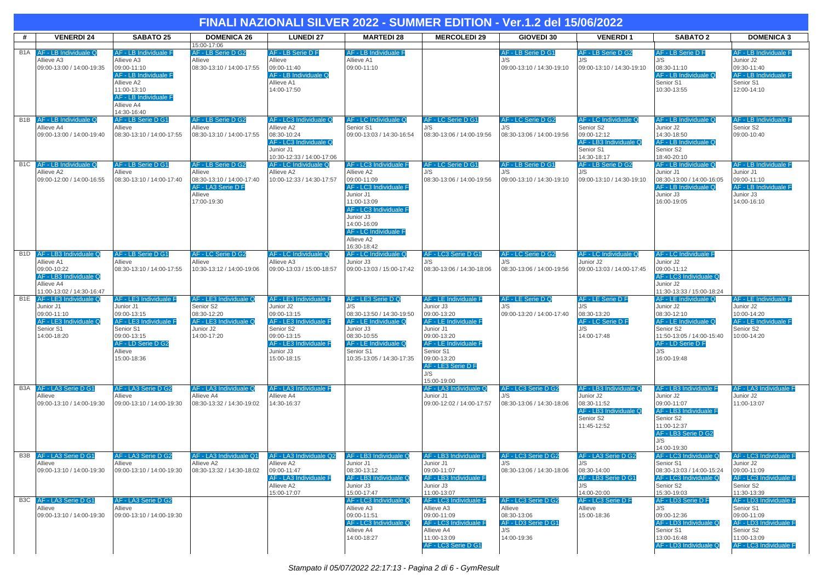|                  | FINALI NAZIONALI SILVER 2022 - SUMMER EDITION - Ver.1.2 del 15/06/2022           |                                                                                                                                       |                                                                                      |                                                                                 |                                                                                                                                                                                             |                                                                                           |                                                          |                                                                   |                                                                                                                |                                                                                             |  |  |
|------------------|----------------------------------------------------------------------------------|---------------------------------------------------------------------------------------------------------------------------------------|--------------------------------------------------------------------------------------|---------------------------------------------------------------------------------|---------------------------------------------------------------------------------------------------------------------------------------------------------------------------------------------|-------------------------------------------------------------------------------------------|----------------------------------------------------------|-------------------------------------------------------------------|----------------------------------------------------------------------------------------------------------------|---------------------------------------------------------------------------------------------|--|--|
| #                | <b>VENERDI 24</b>                                                                | <b>SABATO 25</b>                                                                                                                      | <b>DOMENICA 26</b>                                                                   | <b>LUNEDI 27</b>                                                                | <b>MARTEDI 28</b>                                                                                                                                                                           | <b>MERCOLEDI 29</b>                                                                       | GIOVEDI 30                                               | <b>VENERDI1</b>                                                   | <b>SABATO 2</b>                                                                                                | <b>DOMENICA 3</b>                                                                           |  |  |
| B <sub>1</sub> A | AF - LB Individuale Q<br>Allieve A3                                              | AF - LB Individuale F<br>Allieve A3                                                                                                   | 15:00-17:06<br>AF - LB Serie D G2<br>Allieve                                         | AF - LB Serie D F<br>Allieve                                                    | AF - LB Individuale F<br>Allieve A1                                                                                                                                                         |                                                                                           | AF - LB Serie D G1<br>J/S                                | AF - LB Serie D G2<br>J/S                                         | AF - LB Serie D F<br>J/S                                                                                       | AF - LB Individuale F<br>Junior J2                                                          |  |  |
|                  | 09:00-13:00 / 14:00-19:35                                                        | 09:00-11:10<br><b>AF - LB Individuale F</b><br>Allieve A2<br>11:00-13:10<br><b>AF - LB Individuale F</b><br>Allieve A4<br>14:30-16:40 | 08:30-13:10 / 14:00-17:55                                                            | 09:00-11:40<br>AF - LB Individuale Q<br>Allieve A1<br>14:00-17:50               | 09:00-11:10                                                                                                                                                                                 |                                                                                           | 09:00-13:10 / 14:30-19:10                                | 09:00-13:10 / 14:30-19:10                                         | 08:30-11:10<br>AF - LB Individuale Q<br>Senior S1<br>10:30-13:55                                               | 09:30-11:40<br>AF - LB Individuale F<br>Senior S1<br>12:00-14:10                            |  |  |
| B <sub>1</sub> B | AF - LB Individuale Q<br>Allieve A4                                              | AF - LB Serie D G1<br>Allieve                                                                                                         | AF - LB Serie D G2<br>Allieve                                                        | AF - LC3 Individuale Q<br>Allieve A2                                            | AF - LC Individuale Q<br>Senior S1                                                                                                                                                          | AF - LC Serie D G1<br>J/S                                                                 | AF - LC Serie D G2<br>J/S                                | AF - LC Individuale Q<br>Senior S2                                | AF - LB Individuale Q<br>Junior J2                                                                             | AF - LB Individuale F<br>Senior S2                                                          |  |  |
|                  | 09:00-13:00 / 14:00-19:40                                                        | 08:30-13:10 / 14:00-17:55                                                                                                             | 08:30-13:10 / 14:00-17:55                                                            | 08:30-10:24<br>AF - LC3 Individuale Q<br>Junior J1<br>10:30-12:33 / 14:00-17:06 | 09:00-13:03 / 14:30-16:54                                                                                                                                                                   | 08:30-13:06 / 14:00-19:56                                                                 | 08:30-13:06 / 14:00-19:56                                | 09:00-12:12<br>AF - LB3 Individuale Q<br>Senior S1<br>14:30-18:17 | 14:30-18:50<br>AF - LB Individuale Q<br>Senior S2<br>18:40-20:10                                               | 09:00-10:40                                                                                 |  |  |
|                  | B1C AF - LB Individuale Q                                                        | AF - LB Serie D G1                                                                                                                    | AF - LB Serie D G2                                                                   | AF - LC Individuale Q                                                           | AF - LC3 Individuale F                                                                                                                                                                      | AF - LC Serie D G1                                                                        | AF - LB Serie D G1                                       | AF - LB Serie D G2                                                | AF - LB Individuale Q                                                                                          | AF - LB Individuale F                                                                       |  |  |
|                  | Allieve A2<br>09:00-12:00 / 14:00-16:55                                          | Allieve<br>08:30-13:10 / 14:00-17:40                                                                                                  | Allieve<br>08:30-13:10 / 14:00-17:40<br>AF - LA3 Serie D F<br>Allieve<br>17:00-19:30 | Allieve A2<br>10:00-12:33 / 14:30-17:57                                         | Allieve A2<br>09:00-11:09<br>AF - LC3 Individuale F<br>Junior J1<br>11:00-13:09<br>AF - LC3 Individuale F<br>Junior J3<br>14:00-16:09<br>AF - LC Individuale F<br>Allieve A2<br>16:30-18:42 | J/S<br>08:30-13:06 / 14:00-19:56                                                          | 1/S<br>09:00-13:10 / 14:30-19:10                         | J/S<br>09:00-13:10 / 14:30-19:10                                  | Junior J1<br>08:30-13:00 / 14:00-16:05<br>AF - LB Individuale Q<br>Junior J3<br>16:00-19:05                    | Junior J1<br>09:00-11:10<br>AF - LB Individuale F<br>Junior J3<br>14:00-16:10               |  |  |
| B <sub>1</sub> D | AF - LB3 Individuale Q<br>Allieve A1                                             | AF - LB Serie D G1<br>Allieve                                                                                                         | AF - LC Serie D G2<br>Allieve                                                        | AF - LC Individuale Q<br>Allieve A3                                             | AF - LC Individuale Q<br>Junior J3                                                                                                                                                          | AF - LC3 Serie D G1<br>J/S                                                                | AF - LC Serie D G2<br>J/S                                | AF - LC Individuale Q<br>Junior J2                                | AF - LC Individuale F<br>Junior J2                                                                             |                                                                                             |  |  |
|                  | 09:00-10:22<br>AF - LB3 Individuale Q<br>Allieve A4<br>11:00-13:02 / 14:30-16:47 | 08:30-13:10 / 14:00-17:55                                                                                                             | 10:30-13:12 / 14:00-19:06                                                            | 09:00-13:03 / 15:00-18:57                                                       | 09:00-13:03 / 15:00-17:42                                                                                                                                                                   | 08:30-13:06 / 14:30-18:06                                                                 | 08:30-13:06 / 14:00-19:56                                | 09:00-13:03 / 14:00-17:45                                         | 09:00-11:12<br>AF - LC3 Individuale Q<br>Junior J2<br>11:30-13:33 / 15:00-18:24                                |                                                                                             |  |  |
|                  | B1E AF - LE3 Individuale Q<br>Junior J1                                          | AF - LE3 Individuale F<br>Junior J1                                                                                                   | AF - LE3 Individuale Q<br>Senior S2                                                  | AF - LE3 Individuale F<br>Junior J2                                             | AF - LE3 Serie D Q<br>J/S                                                                                                                                                                   | <b>AF - LE Individuale F</b><br>Junior J3                                                 | AF - LE Serie D Q<br>J/S                                 | AF - LE Serie D F<br>J/S                                          | AF - LE Individuale Q<br>Junior J2                                                                             | <b>AF - LE Individuale F</b><br>Junior J2                                                   |  |  |
|                  | 09:00-11:10<br>AF - LE3 Individuale Q                                            | 09:00-13:15<br>AF - LE3 Individuale F                                                                                                 | 08:30-12:20<br>AF - LE3 Individuale Q                                                | 09:00-13:15<br>AF - LE3 Individuale F                                           | 08:30-13:50 / 14:30-19:50<br>AF - LE Individuale Q                                                                                                                                          | 09:00-13:20<br>AF - LE Individuale F                                                      | 09:00-13:20 / 14:00-17:40                                | 08:30-13:20<br>AF - LC Serie D F                                  | 08:30-12:10<br>AF - LE Individuale Q                                                                           | 10:00-14:20<br>AF - LE Individuale F                                                        |  |  |
|                  | Senior S1<br>14:00-18:20                                                         | Senior S1<br>09:00-13:15<br>AF - LD Serie D G2<br>Allieve                                                                             | Junior J2<br>14:00-17:20                                                             | Senior S2<br>09:00-13:15<br>AF - LE3 Individuale F<br>Junior J3                 | Junior J3<br>08:30-10:55<br>AF - LE Individuale Q<br>Senior S1                                                                                                                              | Junior J1<br>09:00-13:20<br>AF - LE Individuale F<br>Senior S1                            |                                                          | J/S<br>14:00-17:48                                                | Senior S2<br>11:50-13:05 / 14:00-15:40<br>AF - LD Serie D F<br>J/S                                             | Senior S2<br>10:00-14:20                                                                    |  |  |
|                  |                                                                                  | 15:00-18:36                                                                                                                           |                                                                                      | 15:00-18:15                                                                     | 10:35-13:05 / 14:30-17:35                                                                                                                                                                   | 09:00-13:20<br>AF - LE3 Serie D F<br>J/S<br>15:00-19:00                                   |                                                          |                                                                   | 16:00-19:48                                                                                                    |                                                                                             |  |  |
| B3A              | AF - LA3 Serie D G1<br>Allieve                                                   | AF - LA3 Serie D G2<br>Allieve                                                                                                        | AF - LA3 Individuale Q<br>Allieve A4                                                 | AF - LA3 Individuale F<br>Allieve A4                                            |                                                                                                                                                                                             | AF - LA3 Individuale Q<br>Junior J1                                                       | AF - LC3 Serie D G2                                      | AF - LB3 Individuale Q<br>Junior J2                               | AF - LB3 Individuale F<br>Junior J2                                                                            | AF - LA3 Individuale F<br>Junior J2                                                         |  |  |
|                  | 09:00-13:10 / 14:00-19:30                                                        | 09:00-13:10 / 14:00-19:30                                                                                                             | 08:30-13:32 / 14:30-19:02                                                            | 14:30-16:37                                                                     |                                                                                                                                                                                             | 09:00-12:02 / 14:00-17:57                                                                 | 08:30-13:06 / 14:30-18:06                                | 08:30-11:52<br>AF - LB3 Individuale Q<br>Senior S2<br>11:45-12:52 | 09:00-11:07<br>AF - LB3 Individuale F<br>Senior S2<br>11:00-12:37<br>AF - LB3 Serie D G2<br>J/S<br>14:00-19:30 | 11:00-13:07                                                                                 |  |  |
| B3B              | AF - LA3 Serie D G1<br>Allieve                                                   | AF - LA3 Serie D G2<br>Allieve                                                                                                        | AF - LA3 Individuale Q1<br>Allieve A2                                                | AF - LA3 Individuale Q2<br>Allieve A2                                           | AF - LB3 Individuale Q<br>Junior J1                                                                                                                                                         | AF - LB3 Individuale F<br>Junior J1                                                       | AF - LC3 Serie D G2<br>J/S                               | AF - LA3 Serie D G2<br>J/S                                        | AF - LC3 Individuale Q<br>Senior S1                                                                            | AF - LC3 Individuale F<br>Junior J2                                                         |  |  |
|                  | 09:00-13:10 / 14:00-19:30                                                        | 09:00-13:10 / 14:00-19:30                                                                                                             | 08:30-13:32 / 14:30-18:02                                                            | 09:00-11:47<br>AF - LA3 Individuale F<br>Allieve A2<br>15:00-17:07              | 08:30-13:12<br>AF - LB3 Individuale Q<br>Junior J3<br>15:00-17:47                                                                                                                           | 09:00-11:07<br>AF - LB3 Individuale F<br>Junior J3<br>11:00-13:07                         | 08:30-13:06 / 14:30-18:06                                | 08:30-14:00<br>AF - LB3 Serie D G1<br>J/S<br>14:00-20:00          | 08:30-13:03 / 14:00-15:24<br>AF - LC3 Individuale Q<br>Senior S2<br>15:30-19:03                                | 09:00-11:09<br>AF - LC3 Individuale F<br>Senior S2<br>11:30-13:39                           |  |  |
| B3C              | AF - LA3 Serie D G1<br>Allieve                                                   | AF - LA3 Serie D G2<br>Allieve                                                                                                        |                                                                                      |                                                                                 | AF - LC3 Individuale Q<br>Allieve A3                                                                                                                                                        | AF - LC3 Individuale F<br>Allieve A3                                                      | AF - LC3 Serie D G2<br>Allieve                           | AF - LC3 Serie D F<br>Allieve                                     | AF - LD3 Serie D F<br>J/S                                                                                      | AF - LD3 Individuale F<br>Senior S1                                                         |  |  |
|                  | 09:00-13:10 / 14:00-19:30                                                        | 09:00-13:10 / 14:00-19:30                                                                                                             |                                                                                      |                                                                                 | 09:00-11:51<br>AF - LC3 Individuale Q<br>Allieve A4<br>14:00-18:27                                                                                                                          | 09:00-11:09<br>AF - LC3 Individuale F<br>Allieve A4<br>11:00-13:09<br>AF - LC3 Serie D G1 | 08:30-13:06<br>AF - LD3 Serie D G1<br>J/S<br>14:00-19:36 | 15:00-18:36                                                       | 09:00-12:36<br>AF - LD3 Individuale Q<br>Senior S1<br>13:00-16:48<br>AF - LD3 Individuale Q                    | 09:00-11:09<br>AF - LD3 Individuale F<br>Senior S2<br>11:00-13:09<br>AF - LC3 Individuale F |  |  |
|                  |                                                                                  |                                                                                                                                       |                                                                                      |                                                                                 |                                                                                                                                                                                             |                                                                                           |                                                          |                                                                   |                                                                                                                |                                                                                             |  |  |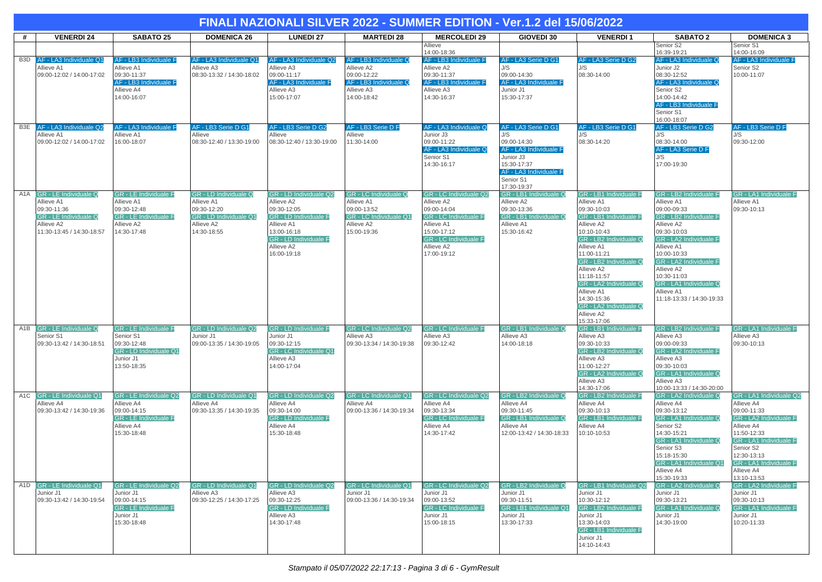|     | FINALI NAZIONALI SILVER 2022 - SUMMER EDITION - Ver.1.2 del 15/06/2022                                                        |                                                                                                                        |                                                                                                           |                                                                                                                                                                 |                                                                                                                  |                                                                                                                                                                               |                                                                                                                                |                                                                                                                                                                                                                                                                                                                                        |                                                                                                                                                                                                                                                                                               |                                                                                                                                                                                                                          |  |
|-----|-------------------------------------------------------------------------------------------------------------------------------|------------------------------------------------------------------------------------------------------------------------|-----------------------------------------------------------------------------------------------------------|-----------------------------------------------------------------------------------------------------------------------------------------------------------------|------------------------------------------------------------------------------------------------------------------|-------------------------------------------------------------------------------------------------------------------------------------------------------------------------------|--------------------------------------------------------------------------------------------------------------------------------|----------------------------------------------------------------------------------------------------------------------------------------------------------------------------------------------------------------------------------------------------------------------------------------------------------------------------------------|-----------------------------------------------------------------------------------------------------------------------------------------------------------------------------------------------------------------------------------------------------------------------------------------------|--------------------------------------------------------------------------------------------------------------------------------------------------------------------------------------------------------------------------|--|
| #   | <b>VENERDI 24</b>                                                                                                             | <b>SABATO 25</b>                                                                                                       | <b>DOMENICA 26</b>                                                                                        | <b>LUNEDI 27</b>                                                                                                                                                | <b>MARTEDI 28</b>                                                                                                | <b>MERCOLEDI 29</b>                                                                                                                                                           | <b>GIOVEDI 30</b>                                                                                                              | <b>VENERDI1</b>                                                                                                                                                                                                                                                                                                                        | <b>SABATO 2</b>                                                                                                                                                                                                                                                                               | <b>DOMENICA 3</b>                                                                                                                                                                                                        |  |
|     |                                                                                                                               |                                                                                                                        |                                                                                                           |                                                                                                                                                                 |                                                                                                                  | Allieve<br>14:00-18:36                                                                                                                                                        |                                                                                                                                |                                                                                                                                                                                                                                                                                                                                        | Senior S2<br>16:39-19:21                                                                                                                                                                                                                                                                      | Senior S1<br>14:00-16:09                                                                                                                                                                                                 |  |
| B3D | AF - LA3 Individuale Q1<br>Allieve A1<br>09:00-12:02 / 14:00-17:02                                                            | AF - LB3 Individuale F<br>Allieve A1<br>09:30-11:37<br>AF - LB3 Individuale F<br>Allieve A4<br>14:00-16:07             | AF - LA3 Individuale Q1<br>Allieve A3<br>08:30-13:32 / 14:30-18:02                                        | AF - LA3 Individuale Q2<br>Allieve A3<br>09:00-11:17<br>AF - LA3 Individuale F<br>Allieve A3<br>15:00-17:07                                                     | AF - LB3 Individuale Q<br>Allieve A2<br>09:00-12:22<br>AF - LB3 Individuale Q<br>Allieve A3<br>14:00-18:42       | AF - LB3 Individuale F<br>Allieve A2<br>09:30-11:37<br>AF - LB3 Individuale F<br>Allieve A3<br>14:30-16:37                                                                    | AF - LA3 Serie D G1<br>J/S<br>09:00-14:30<br>AF - LA3 Individuale F<br>Junior J1<br>15:30-17:37                                | AF - LA3 Serie D G2<br>J/S<br>08:30-14:00                                                                                                                                                                                                                                                                                              | AF - LA3 Individuale Q<br>Junior J2<br>08:30-12:52<br>AF - LA3 Individuale Q<br>Senior S2<br>14:00-14:42<br>AF - LB3 Individuale F<br>Senior S1<br>16:00-18:07                                                                                                                                | <b>AF - LA3 Individuale F</b><br>Senior S2<br>10:00-11:07                                                                                                                                                                |  |
|     | B3E AF - LA3 Individuale Q2                                                                                                   | AF - LA3 Individuale F                                                                                                 | AF - LB3 Serie D G1                                                                                       | AF - LB3 Serie D G2                                                                                                                                             | AF - LB3 Serie D F                                                                                               | AF - LA3 Individuale Q                                                                                                                                                        | AF - LA3 Serie D G1                                                                                                            | AF - LB3 Serie D G1                                                                                                                                                                                                                                                                                                                    | AF - LB3 Serie D G2                                                                                                                                                                                                                                                                           | <b>AF - LB3 Serie D F</b>                                                                                                                                                                                                |  |
|     | Allieve A1<br>09:00-12:02 / 14:00-17:02                                                                                       | Allieve A1<br>16:00-18:07                                                                                              | Allieve<br>08:30-12:40 / 13:30-19:00                                                                      | Allieve<br>08:30-12:40 / 13:30-19:00                                                                                                                            | Allieve<br>11:30-14:00                                                                                           | Junior J3<br>09:00-11:22<br>AF - LA3 Individuale Q<br>Senior S1<br>14:30-16:17                                                                                                | J/S<br>09:00-14:30<br>AF - LA3 Individuale F<br>Junior J3<br>15:30-17:37<br>AF - LA3 Individuale F<br>Senior S1<br>17:30-19:37 | J/S<br>08:30-14:20                                                                                                                                                                                                                                                                                                                     | J/S<br>08:30-14:00<br>AF - LA3 Serie D F<br>J/S<br>17:00-19:30                                                                                                                                                                                                                                | J/S<br>09:30-12:00                                                                                                                                                                                                       |  |
| A1A | <b>GR - LE Individuale Q</b><br>Allieve A1<br>09:30-11:36<br>GR - LE Individuale Q<br>Allieve A2<br>11:30-13:45 / 14:30-18:57 | <b>GR - LE Individuale F</b><br>Allieve A1<br>09:30-12:48<br><b>GR - LE Individuale F</b><br>Allieve A2<br>14:30-17:48 | GR - LD Individuale Q<br>Allieve A1<br>09:30-12:20<br>GR - LD Individuale Q1<br>Allieve A2<br>14:30-18:55 | GR - LD Individuale Q2<br>Allieve A2<br>09:30-12:05<br>GR - LD Individuale F<br>Allieve A1<br>13:00-16:18<br>GR - LD Individuale F<br>Allieve A2<br>16:00-19:18 | <b>GR - LC Individuale Q</b><br>Allieve A1<br>09:00-13:52<br>GR - LC Individuale Q1<br>Allieve A2<br>15:00-19:36 | GR - LC Individuale Q2<br>Allieve A2<br>09:00-14:04<br><b>GR - LC Individuale F</b><br>Allieve A1<br>15:00-17:12<br><b>GR - LC Individuale F</b><br>Allieve A2<br>17:00-19:12 | GR - LB1 Individuale Q<br>Allieve A2<br>09:30-13:36<br>GR - LB1 Individuale Q<br>Allieve A1<br>15:30-16:42                     | GR - LB1 Individuale F<br>Allieve A1<br>09:30-10:03<br>GR - LB1 Individuale F<br>Allieve A2<br>10:10-10:43<br>GR - LB2 Individuale Q<br>Allieve A1<br>11:00-11:21<br>GR - LB2 Individuale Q<br>Allieve A2<br>11:18-11:57<br>GR - LA2 Individuale Q<br>Allieve A1<br>14:30-15:36<br>GR - LA2 Individuale Q<br>Allieve A2<br>15:33-17:06 | GR - LB2 Individuale F<br>Allieve A1<br>09:00-09:33<br>GR - LB2 Individuale F<br>Allieve A2<br>09:30-10:03<br>GR - LA2 Individuale F<br>Allieve A1<br>10:00-10:33<br>GR - LA2 Individuale F<br>Allieve A2<br>10:30-11:03<br>GR - LA1 Individuale Q<br>Allieve A1<br>11:18-13:33 / 14:30-19:33 | GR - LA1 Individuale F<br>Allieve A1<br>09:30-10:13                                                                                                                                                                      |  |
|     | A1B GR - LE Individuale Q<br>Senior S1<br>09:30-13:42 / 14:30-18:51                                                           | <b>GR - LE Individuale F</b><br>Senior S1<br>09:30-12:48<br>GR - LD Individuale Q1<br>Junior J1<br>13:50-18:35         | GR - LD Individuale Q2<br>Junior J1<br>09:00-13:35 / 14:30-19:05                                          | GR - LD Individuale F<br>Junior J1<br>09:30-12:15<br>GR - LC Individuale Q1<br>Allieve A3<br>14:00-17:04                                                        | GR - LC Individuale Q2<br>Allieve A3<br>09:30-13:34 / 14:30-19:38                                                | <b>GR - LC Individuale F</b><br>Allieve A3<br>09:30-12:42                                                                                                                     | GR - LB1 Individuale Q<br>Allieve A3<br>14:00-18:18                                                                            | GR - LB1 Individuale F<br>Allieve A3<br>09:30-10:33<br>GR - LB2 Individuale Q<br>Allieve A3<br>11:00-12:27<br>GR - LA2 Individuale Q<br>Allieve A3<br>14:30-17:06                                                                                                                                                                      | GR - LB2 Individuale F<br>Allieve A3<br>09:00-09:33<br>GR - LA2 Individuale F<br>Allieve A3<br>09:30-10:03<br>GR - LA1 Individuale Q<br>Allieve A3<br>10:00-13:33 / 14:30-20:00                                                                                                               | GR - LA1 Individuale F<br>Allieve A3<br>09:30-10:13                                                                                                                                                                      |  |
|     | A1C GR - LE Individuale Q1<br>Allieve A4<br>09:30-13:42 / 14:30-19:36                                                         | GR - LE Individuale Q2<br>Allieve A4<br>09:00-14:15<br><b>GR - LE Individuale F</b><br>Allieve A4<br>15:30-18:48       | GR - LD Individuale Q1<br>Allieve A4<br>09:30-13:35 / 14:30-19:35                                         | GR - LD Individuale Q2<br>Allieve A4<br>09:30-14:00<br><b>GR - LD Individuale F</b><br>Allieve A4<br>15:30-18:48                                                | GR - LC Individuale Q1<br>Allieve A4<br>09:00-13:36 / 14:30-19:34                                                | GR - LC Individuale Q2<br>Allieve A4<br>09:30-13:34<br><b>GR - LC Individuale F</b><br>Allieve A4<br>14:30-17:42                                                              | GR - LB2 Individuale Q<br>Allieve A4<br>09:30-11:45<br>GR - LB1 Individuale Q<br>Allieve A4<br>12:00-13:42 / 14:30-18:33       | GR - LB2 Individuale F<br>Allieve A4<br>09:30-10:13<br>GR - LB1 Individuale F<br>Allieve A4<br>10:10-10:53                                                                                                                                                                                                                             | GR - LA2 Individuale Q<br>Allieve A4<br>09:30-13:12<br>GR - LA1 Individuale Q<br>Senior S2<br>14:30-15:21<br>GR - LA1 Individuale Q<br>Senior S3<br>15:18-15:30<br>GR - LA1 Individuale Q1<br>Allieve A4<br>15:30-19:33                                                                       | GR - LA1 Individuale Q2<br>Allieve A4<br>09:00-11:33<br>GR - LA2 Individuale F<br>Allieve A4<br>11:50-12:33<br>GR - LA1 Individuale F<br>Senior S2<br>12:30-13:13<br>GR - LA1 Individuale F<br>Allieve A4<br>13:10-13:53 |  |
|     | A1D GR - LE Individuale Q1<br>Junior J1<br>09:30-13:42 / 14:30-19:54                                                          | GR - LE Individuale Q2<br>Junior J1<br>09:00-14:15<br><b>GR - LE Individuale F</b><br>Junior J1<br>15:30-18:48         | GR - LD Individuale Q1<br>Allieve A3<br>09:30-12:25 / 14:30-17:25                                         | GR - LD Individuale Q2<br>Allieve A3<br>09:30-12:25<br>GR - LD Individuale F<br>Allieve A3<br>14:30-17:48                                                       | <b>GR - LC Individuale Q1</b><br>Junior J1<br>09:00-13:36 / 14:30-19:34                                          | GR - LC Individuale Q2<br>Junior J1<br>09:00-13:52<br><b>GR - LC Individuale F</b><br>Junior J1<br>15:00-18:15                                                                | GR - LB2 Individuale Q<br>Junior J1<br>09:30-11:51<br>GR - LB1 Individuale Q1<br>Junior J1<br>13:30-17:33                      | GR - LB1 Individuale Q2<br>Junior J1<br>10:30-12:12<br>GR - LB2 Individuale F<br>Junior J1<br>13:30-14:03<br><b>GR - LB1 Individuale F</b><br>Junior J1<br>14:10-14:43                                                                                                                                                                 | GR - LA2 Individuale Q<br>Junior J1<br>09:30-13:21<br>GR - LA1 Individuale Q<br>Junior J1<br>14:30-19:00                                                                                                                                                                                      | GR - LA2 Individuale F<br>Junior J1<br>09:30-10:13<br><b>GR - LA1 Individuale F</b><br>Junior J1<br>10:20-11:33                                                                                                          |  |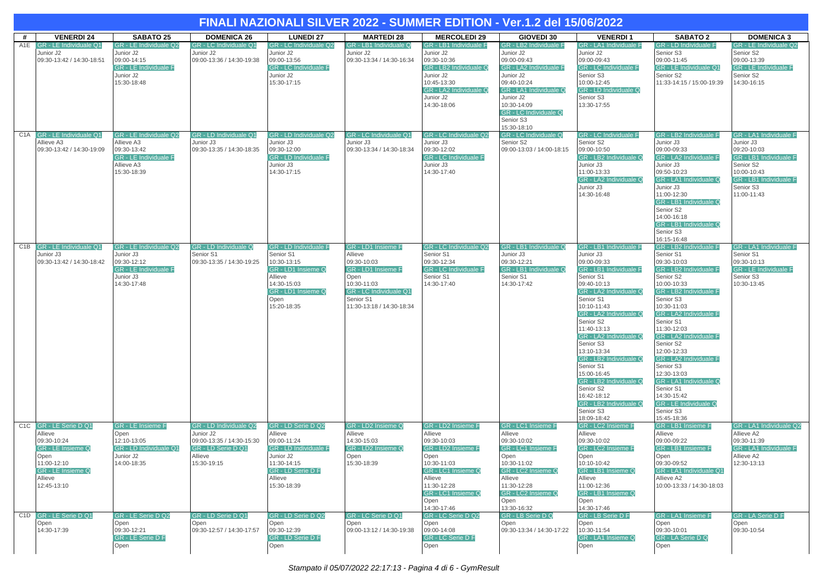|     |                                                                                                                                                    |                                                                                                                  |                                                                                                                  | FINALI NAZIONALI SILVER 2022 - SUMMER EDITION - Ver.1.2 del 15/06/2022                                                                                         |                                                                                                                                                               |                                                                                                                                                                                               |                                                                                                                                                                                                                     |                                                                                                                                                                                                                                                                                                                                                                                                                                              |                                                                                                                                                                                                                                                                                                                                                                                                                                                           |                                                                                                                                                                |
|-----|----------------------------------------------------------------------------------------------------------------------------------------------------|------------------------------------------------------------------------------------------------------------------|------------------------------------------------------------------------------------------------------------------|----------------------------------------------------------------------------------------------------------------------------------------------------------------|---------------------------------------------------------------------------------------------------------------------------------------------------------------|-----------------------------------------------------------------------------------------------------------------------------------------------------------------------------------------------|---------------------------------------------------------------------------------------------------------------------------------------------------------------------------------------------------------------------|----------------------------------------------------------------------------------------------------------------------------------------------------------------------------------------------------------------------------------------------------------------------------------------------------------------------------------------------------------------------------------------------------------------------------------------------|-----------------------------------------------------------------------------------------------------------------------------------------------------------------------------------------------------------------------------------------------------------------------------------------------------------------------------------------------------------------------------------------------------------------------------------------------------------|----------------------------------------------------------------------------------------------------------------------------------------------------------------|
| #   | <b>VENERDI 24</b>                                                                                                                                  | <b>SABATO 25</b>                                                                                                 | <b>DOMENICA 26</b>                                                                                               | <b>LUNEDI 27</b>                                                                                                                                               | <b>MARTEDI 28</b>                                                                                                                                             | <b>MERCOLEDI 29</b>                                                                                                                                                                           | GIOVEDI 30                                                                                                                                                                                                          | <b>VENERDI1</b>                                                                                                                                                                                                                                                                                                                                                                                                                              | <b>SABATO 2</b>                                                                                                                                                                                                                                                                                                                                                                                                                                           | <b>DOMENICA 3</b>                                                                                                                                              |
| A1E | GR - LE Individuale Q1<br>Junior J2<br>09:30-13:42 / 14:30-18:51                                                                                   | GR - LE Individuale Q2<br>Junior J2<br>09:00-14:15<br><b>GR - LE Individuale F</b><br>Junior J2<br>15:30-18:48   | GR - LC Individuale Q1<br>Junior J2<br>09:00-13:36 / 14:30-19:38                                                 | GR - LC Individuale Q2<br>Junior J2<br>09:00-13:56<br><b>GR - LC Individuale F</b><br>Junior J2<br>15:30-17:15                                                 | GR - LB1 Individuale Q<br>Junior J2<br>09:30-13:34 / 14:30-16:34                                                                                              | GR - LB1 Individuale F<br>Junior J2<br>09:30-10:36<br>GR - LB2 Individuale Q<br>Junior J2<br>10:45-13:30<br>GR - LA2 Individuale Q<br>Junior J2<br>14:30-18:06                                | GR - LB2 Individuale F<br>Junior J2<br>09:00-09:43<br>GR - LA2 Individuale F<br>Junior J2<br>09:40-10:24<br>GR - LA1 Individuale Q<br>Junior J2<br>10:30-14:09<br>GR - LC Individuale Q<br>Senior S3<br>15:30-18:10 | GR - LA1 Individuale F<br>Junior J2<br>09:00-09:43<br><b>GR - LC Individuale F</b><br>Senior S3<br>10:00-12:45<br><b>GR - LD Individuale Q</b><br>Senior S3<br>13:30-17:55                                                                                                                                                                                                                                                                   | <b>GR - LD Individuale F</b><br>Senior S3<br>09:00-11:45<br>GR - LE Individuale Q1<br>Senior S2<br>11:33-14:15 / 15:00-19:39                                                                                                                                                                                                                                                                                                                              | GR - LE Individuale Q2<br>Senior S2<br>09:00-13:39<br><b>GR - LE Individuale F</b><br>Senior S2<br>14:30-16:15                                                 |
|     | C1A GR - LE Individuale Q1<br>Allieve A3<br>09:30-13:42 / 14:30-19:09                                                                              | GR - LE Individuale Q2<br>Allieve A3<br>09:30-13:42<br><b>GR - LE Individuale F</b><br>Allieve A3<br>15:30-18:39 | GR - LD Individuale Q1<br>Junior J3<br>09:30-13:35 / 14:30-18:35                                                 | GR - LD Individuale Q2<br>Junior J3<br>09:30-12:00<br><b>GR - LD Individuale F</b><br>Junior J3<br>14:30-17:15                                                 | GR - LC Individuale Q1<br>Junior J3<br>09:30-13:34 / 14:30-18:34                                                                                              | <b>GR - LC Individuale Q2</b><br>Junior J3<br>09:30-12:02<br><b>GR - LC Individuale F</b><br>Junior J3<br>14:30-17:40                                                                         | GR - LC Individuale Q<br>Senior S2<br>09:00-13:03 / 14:00-18:15                                                                                                                                                     | <b>GR - LC Individuale F</b><br>Senior S2<br>09:00-10:50<br>GR - LB2 Individuale Q<br>Junior J3<br>11:00-13:33<br>GR - LA2 Individuale Q<br>Junior J3<br>14:30-16:48                                                                                                                                                                                                                                                                         | GR - LB2 Individuale F<br>Junior J3<br>09:00-09:33<br>GR - LA2 Individuale F<br>Junior J3<br>09:50-10:23<br>GR - LA1 Individuale Q<br>Junior J3<br>11:00-12:30<br>GR - LB1 Individuale Q<br>Senior S2<br>14:00-16:18<br>GR - LB1 Individuale Q<br>Senior S3<br>16:15-16:48                                                                                                                                                                                | GR - LA1 Individuale F<br>Junior J3<br>09:20-10:03<br>GR - LB1 Individuale F<br>Senior S2<br>10:00-10:43<br>GR - LB1 Individuale F<br>Senior S3<br>11:00-11:43 |
|     | C1B GR - LE Individuale Q1<br>Junior J3<br>09:30-13:42 / 14:30-18:42                                                                               | GR - LE Individuale Q2<br>Junior J3<br>09:30-12:12<br><b>GR - LE Individuale F</b><br>Junior J3<br>14:30-17:48   | GR - LD Individuale Q<br>Senior S1<br>09:30-13:35 / 14:30-19:25                                                  | <b>GR - LD Individuale F</b><br>Senior S1<br>10:30-13:15<br>GR - LD1 Insieme Q<br>Allieve<br>14:30-15:03<br>GR - LD1 Insieme Q<br>Open<br>15:20-18:35          | GR - LD1 Insieme F<br>Allieve<br>09:30-10:03<br>GR - LD1 Insieme F<br>Open<br>10:30-11:03<br>GR - LC Individuale Q1<br>Senior S1<br>11:30-13:18 / 14:30-18:34 | GR - LC Individuale Q2<br>Senior S1<br>09:30-12:34<br><b>GR - LC Individuale F</b><br>Senior S1<br>14:30-17:40                                                                                | GR - LB1 Individuale Q<br>Junior J3<br>09:30-12:21<br>GR - LB1 Individuale Q<br>Senior S1<br>14:30-17:42                                                                                                            | GR - LB1 Individuale F<br>Junior J3<br>09:00-09:33<br>GR - LB1 Individuale F<br>Senior S1<br>09:40-10:13<br>GR - LA2 Individuale Q<br>Senior S1<br>10:10-11:43<br>GR - LA2 Individuale Q<br>Senior S2<br>11:40-13:13<br>GR - LA2 Individuale Q<br>Senior S3<br>13:10-13:34<br>GR - LB2 Individuale Q<br>Senior S1<br>15:00-16:45<br>GR - LB2 Individuale Q<br>Senior S2<br>16:42-18:12<br>GR - LB2 Individuale Q<br>Senior S3<br>18:09-18:42 | GR - LB2 Individuale F<br>Senior S1<br>09:30-10:03<br>GR - LB2 Individuale F<br>Senior S2<br>10:00-10:33<br>GR - LB2 Individuale F<br>Senior S3<br>10:30-11:03<br>GR - LA2 Individuale F<br>Senior S1<br>11:30-12:03<br>GR - LA2 Individuale F<br>Senior S2<br>12:00-12:33<br><b>GR - LA2 Individuale F</b><br>Senior S3<br>12:30-13:03<br>GR - LA1 Individuale Q<br>Senior S1<br>14:30-15:42<br><b>GR - LE Individuale Q</b><br>Senior S3<br>15:45-18:36 | GR - LA1 Individuale F<br>Senior S1<br>09:30-10:13<br><b>GR - LE Individuale F</b><br>Senior S3<br>10:30-13:45                                                 |
|     | C1C GR - LE Serie D Q1<br>Allieve<br>09:30-10:24<br>GR - LE Insieme Q<br>Open<br>11:00-12:10<br><b>GR - LE Insieme Q</b><br>Allieve<br>12:45-13:10 | GR - LE Insieme F<br>Open<br>12:10-13:05<br>GR - LD Individuale Q1<br>Junior J2<br>14:00-18:35                   | GR - LD Individuale Q2<br>Junior J2<br>09:00-13:35 / 14:30-15:30<br>GR - LD Serie D Q1<br>Allieve<br>15:30-19:15 | GR - LD Serie D Q2<br>Allieve<br>09:00-11:24<br><b>GR - LD Individuale F</b><br>Junior J2<br>11:30-14:15<br><b>GR</b> - LD Serie D F<br>Allieve<br>15:30-18:39 | GR - LD2 Insieme Q<br>Allieve<br>14:30-15:03<br>GR - LD2 Insieme Q<br>Open<br>15:30-18:39                                                                     | GR - LD2 Insieme F<br>Allieve<br>09:30-10:03<br><b>GR - LD2 Insieme F</b><br>Open<br>10:30-11:03<br>GR - LC1 Insieme Q<br>Allieve<br>11:30-12:28<br>GR - LC1 Insieme Q<br>Open<br>14:30-17:46 | GR - LC1 Insieme F<br>Allieve<br>09:30-10:02<br>GR - LC1 Insieme F<br>Open<br>10:30-11:02<br>GR - LC2 Insieme Q<br>Allieve<br>11:30-12:28<br>GR - LC2 Insieme Q<br>Open<br>13:30-16:32                              | GR - LC2 Insieme F<br>Allieve<br>09:30-10:02<br><b>GR - LC2 Insieme F</b><br>Open<br>10:10-10:42<br>GR - LB1 Insieme Q<br>Allieve<br>11:00-12:36<br>GR - LB1 Insieme Q<br>Open<br>14:30-17:46                                                                                                                                                                                                                                                | GR - LB1 Insieme F<br>Allieve<br>09:00-09:22<br>GR - LB1 Insieme F<br>Open<br>09:30-09:52<br>GR - LA1 Individuale Q1<br>Allieve A2<br>10:00-13:33 / 14:30-18:03                                                                                                                                                                                                                                                                                           | GR - LA1 Individuale Q2<br>Allieve A2<br>09:30-11:39<br>GR - LA1 Individuale F<br>Allieve A2<br>12:30-13:13                                                    |
|     | C1D GR - LE Serie D Q1<br>Open<br>14:30-17:39                                                                                                      | GR - LE Serie D Q2<br>Open<br>09:30-12:21<br>GR - LE Serie D F<br>Open                                           | GR - LD Serie D Q1<br>Open<br>09:30-12:57 / 14:30-17:57                                                          | GR - LD Serie D Q2<br>Open<br>09:30-12:39<br>GR - LD Serie D F<br>Open                                                                                         | GR - LC Serie D Q1<br>Open<br>09:00-13:12 / 14:30-19:38                                                                                                       | GR - LC Serie D Q2<br>Open<br>09:00-14:08<br>GR - LC Serie D F<br>Open                                                                                                                        | GR - LB Serie D Q<br>Open<br>09:30-13:34 / 14:30-17:22                                                                                                                                                              | GR - LB Serie D F<br>Open<br>10:30-11:54<br>GR - LA1 Insieme Q<br>Open                                                                                                                                                                                                                                                                                                                                                                       | <b>GR - LA1 Insieme F</b><br>Open<br>09:30-10:01<br><b>GR - LA Serie D Q</b><br>Open                                                                                                                                                                                                                                                                                                                                                                      | <b>GR - LA Serie D F</b><br>Open<br>09:30-10:54                                                                                                                |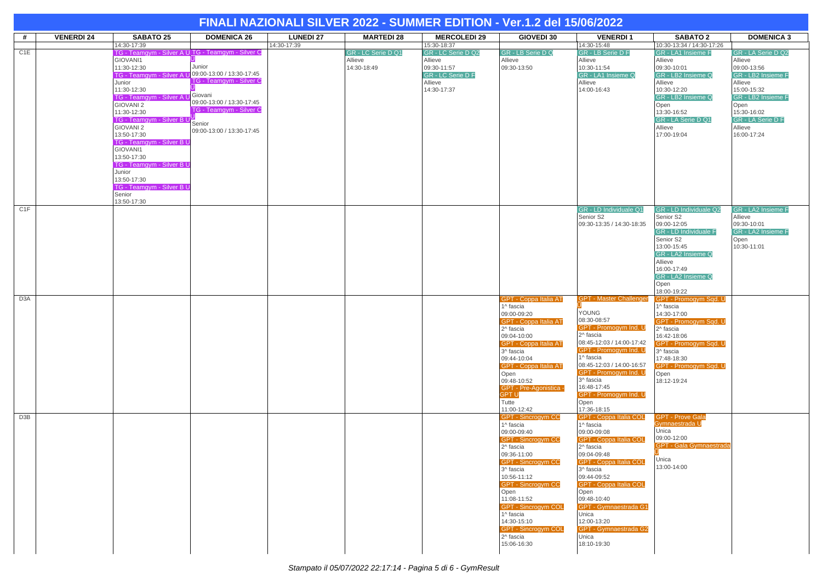|                  |                   |                                             |                                                   |                  |                    | FINALI NAZIONALI SILVER 2022 - SUMMER EDITION - Ver.1.2 del 15/06/2022 |                                          |                                              |                                                        |                                   |
|------------------|-------------------|---------------------------------------------|---------------------------------------------------|------------------|--------------------|------------------------------------------------------------------------|------------------------------------------|----------------------------------------------|--------------------------------------------------------|-----------------------------------|
| #                | <b>VENERDI 24</b> | <b>SABATO 25</b>                            | <b>DOMENICA 26</b>                                | <b>LUNEDI 27</b> | <b>MARTEDI 28</b>  | <b>MERCOLEDI 29</b>                                                    | <b>GIOVEDI 30</b>                        | <b>VENERDI1</b>                              | <b>SABATO 2</b>                                        | <b>DOMENICA 3</b>                 |
| C <sub>1</sub> E |                   | 14:30-17:39                                 | TG - Teamgym - Silver A U TG - Teamgym - Silver C | 14:30-17:39      | GR - LC Serie D Q1 | 15:30-18:37<br>GR - LC Serie D Q2                                      | GR - LB Serie D Q                        | 14:30-15:48<br>GR - LB Serie D F             | 10:30-13:34 / 14:30-17:26<br><b>GR</b> - LA1 Insieme F | GR - LA Serie D Q2                |
|                  |                   | GIOVANI1                                    |                                                   |                  | Allieve            | Allieve                                                                | Allieve                                  | Allieve                                      | Allieve                                                | Allieve                           |
|                  |                   | 11:30-12:30<br>TG - Teamgym - Silver A      | Junior<br>09:00-13:00 / 13:30-17:45               |                  | 14:30-18:49        | 09:30-11:57<br>GR - LC Serie D F                                       | 09:30-13:50                              | 10:30-11:54<br>GR - LA1 Insieme Q            | 09:30-10:01<br>GR - LB2 Insieme Q                      | 09:00-13:56<br>GR - LB2 Insieme F |
|                  |                   | Junior                                      | TG - Teamgym - Silver C                           |                  |                    | Allieve                                                                |                                          | Allieve                                      | Allieve                                                | Allieve                           |
|                  |                   | 11:30-12:30                                 | Giovani                                           |                  |                    | 14:30-17:37                                                            |                                          | 14:00-16:43                                  | 10:30-12:20                                            | 15:00-15:32                       |
|                  |                   | <b>TG - Teamgym - Silver A</b><br>GIOVANI 2 | 09:00-13:00 / 13:30-17:45                         |                  |                    |                                                                        |                                          |                                              | GR - LB2 Insieme Q<br>Open                             | GR - LB2 Insieme F<br>Open        |
|                  |                   | 11:30-12:30                                 | TG - Teamgym - Silver C                           |                  |                    |                                                                        |                                          |                                              | 13:30-16:52                                            | 15:30-16:02                       |
|                  |                   | TG - Teamgym - Silver B U<br>GIOVANI 2      | Senior                                            |                  |                    |                                                                        |                                          |                                              | GR - LA Serie D Q1<br>Allieve                          | GR - LA Serie D F<br>Allieve      |
|                  |                   | 13:50-17:30                                 | 09:00-13:00 / 13:30-17:45                         |                  |                    |                                                                        |                                          |                                              | 17:00-19:04                                            | 16:00-17:24                       |
|                  |                   | TG - Teamgym - Silver B L                   |                                                   |                  |                    |                                                                        |                                          |                                              |                                                        |                                   |
|                  |                   | GIOVANI1<br>13:50-17:30                     |                                                   |                  |                    |                                                                        |                                          |                                              |                                                        |                                   |
|                  |                   | <b>TG - Teamgym - Silver B L</b>            |                                                   |                  |                    |                                                                        |                                          |                                              |                                                        |                                   |
|                  |                   | Junior<br>13:50-17:30                       |                                                   |                  |                    |                                                                        |                                          |                                              |                                                        |                                   |
|                  |                   | <b>TG - Teamgym - Silver B U</b>            |                                                   |                  |                    |                                                                        |                                          |                                              |                                                        |                                   |
|                  |                   | Senior                                      |                                                   |                  |                    |                                                                        |                                          |                                              |                                                        |                                   |
| C1F              |                   | 13:50-17:30                                 |                                                   |                  |                    |                                                                        |                                          | GR - LD Individuale Q1                       | GR - LD Individuale Q2                                 | <b>GR - LA2 Insieme F</b>         |
|                  |                   |                                             |                                                   |                  |                    |                                                                        |                                          | Senior S2                                    | Senior S2                                              | Allieve                           |
|                  |                   |                                             |                                                   |                  |                    |                                                                        |                                          | 09:30-13:35 / 14:30-18:35                    | 09:00-12:05<br>GR - LD Individuale F                   | 09:30-10:01<br>GR - LA2 Insieme F |
|                  |                   |                                             |                                                   |                  |                    |                                                                        |                                          |                                              | Senior S2                                              | Open                              |
|                  |                   |                                             |                                                   |                  |                    |                                                                        |                                          |                                              | 13:00-15:45                                            | 10:30-11:01                       |
|                  |                   |                                             |                                                   |                  |                    |                                                                        |                                          |                                              | GR - LA2 Insieme Q<br>Allieve                          |                                   |
|                  |                   |                                             |                                                   |                  |                    |                                                                        |                                          |                                              | 16:00-17:49                                            |                                   |
|                  |                   |                                             |                                                   |                  |                    |                                                                        |                                          |                                              | GR - LA2 Insieme Q<br>Open                             |                                   |
|                  |                   |                                             |                                                   |                  |                    |                                                                        |                                          |                                              | 18:00-19:22                                            |                                   |
| D <sub>3</sub> A |                   |                                             |                                                   |                  |                    |                                                                        | GPT - Coppa Italia AT                    | <b>GPT - Master Challenger</b>               | <b>GPT - Promogym Sgd. U</b><br>1^ fascia              |                                   |
|                  |                   |                                             |                                                   |                  |                    |                                                                        | 1^ fascia<br>09:00-09:20                 | YOUNG                                        | 14:30-17:00                                            |                                   |
|                  |                   |                                             |                                                   |                  |                    |                                                                        | GPT - Coppa Italia AT                    | 08:30-08:57                                  | GPT - Promogym Sqd. U                                  |                                   |
|                  |                   |                                             |                                                   |                  |                    |                                                                        | 2^ fascia<br>09:04-10:00                 | GPT - Promogym Ind. U<br>2^ fascia           | 2^ fascia<br>16:42-18:06                               |                                   |
|                  |                   |                                             |                                                   |                  |                    |                                                                        | <b>GPT - Coppa Italia AT</b>             | 08:45-12:03 / 14:00-17:42                    | GPT - Promogym Sqd. U                                  |                                   |
|                  |                   |                                             |                                                   |                  |                    |                                                                        | 3^ fascia                                | GPT - Promogym Ind. U<br>1^ fascia           | 3^ fascia                                              |                                   |
|                  |                   |                                             |                                                   |                  |                    |                                                                        | 09:44-10:04<br>GPT - Coppa Italia AT     | 08:45-12:03 / 14:00-16:57                    | 17:48-18:30<br>GPT - Promogym Sqd. U                   |                                   |
|                  |                   |                                             |                                                   |                  |                    |                                                                        | Open                                     | GPT - Promogym Ind. U                        | Open                                                   |                                   |
|                  |                   |                                             |                                                   |                  |                    |                                                                        | 09:48-10:52<br>GPT - Pre-Agonistica -    | 3^ fascia<br>16:48-17:45                     | 18:12-19:24                                            |                                   |
|                  |                   |                                             |                                                   |                  |                    |                                                                        | <b>GPTU</b>                              | GPT - Promogym Ind. U                        |                                                        |                                   |
|                  |                   |                                             |                                                   |                  |                    |                                                                        | Tutte<br>11:00-12:42                     | Open<br>17:36-18:15                          |                                                        |                                   |
| D3B              |                   |                                             |                                                   |                  |                    |                                                                        | <b>GPT - Sincrogym CC</b>                | <b>GPT - Coppa Italia COL</b>                | <b>GPT - Prove Gala</b>                                |                                   |
|                  |                   |                                             |                                                   |                  |                    |                                                                        | 1^ fascia<br>09:00-09:40                 | 1^ fascia<br>09:00-09:08                     | Gymnaestrada U<br>Unica                                |                                   |
|                  |                   |                                             |                                                   |                  |                    |                                                                        | <b>GPT - Sincrogym CC</b>                | <b>GPT - Coppa Italia COL</b>                | 09:00-12:00                                            |                                   |
|                  |                   |                                             |                                                   |                  |                    |                                                                        | 2^ fascia                                | 2^ fascia                                    | <b>GPT - Gala Gymnaestrada</b>                         |                                   |
|                  |                   |                                             |                                                   |                  |                    |                                                                        | 09:36-11:00<br>GPT - Sincrogym CC        | 09:04-09:48<br><b>GPT - Coppa Italia COL</b> | Unica                                                  |                                   |
|                  |                   |                                             |                                                   |                  |                    |                                                                        | 3^ fascia                                | 3^ fascia                                    | 13:00-14:00                                            |                                   |
|                  |                   |                                             |                                                   |                  |                    |                                                                        | 10:56-11:12<br><b>GPT - Sincrogym CC</b> | 09:44-09:52<br><b>GPT - Coppa Italia COL</b> |                                                        |                                   |
|                  |                   |                                             |                                                   |                  |                    |                                                                        | Open                                     | Open                                         |                                                        |                                   |
|                  |                   |                                             |                                                   |                  |                    |                                                                        | 11:08-11:52                              | 09:48-10:40                                  |                                                        |                                   |
|                  |                   |                                             |                                                   |                  |                    |                                                                        | <b>GPT</b> - Sincrogym COL<br>1^ fascia  | <b>GPT - Gymnaestrada G1</b><br>Unica        |                                                        |                                   |
|                  |                   |                                             |                                                   |                  |                    |                                                                        | 14:30-15:10                              | 12:00-13:20                                  |                                                        |                                   |
|                  |                   |                                             |                                                   |                  |                    |                                                                        | <b>GPT - Sincrogym COL</b><br>2^ fascia  | <b>GPT - Gymnaestrada G2</b><br>Unica        |                                                        |                                   |
|                  |                   |                                             |                                                   |                  |                    |                                                                        | 15:06-16:30                              | 18:10-19:30                                  |                                                        |                                   |
|                  |                   |                                             |                                                   |                  |                    |                                                                        |                                          |                                              |                                                        |                                   |